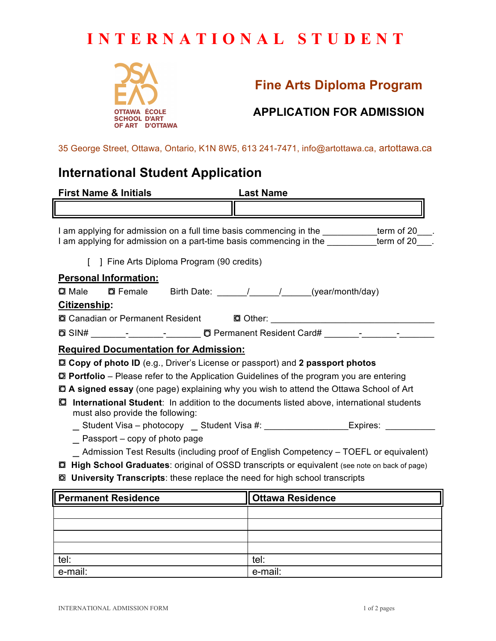# **INTERNATIONAL STUDENT**



## **Fine Arts Diploma Program**

### **APPLICATION FOR ADMISSION**

35 George Street, Ottawa, Ontario, K1N 8W5, 613 241-7471, info@artottawa.ca, artottawa.ca

### **International Student Application**

| <b>First Name &amp; Initials</b>                                                                                                                                                                                                  | <b>Last Name</b>        |  |  |  |
|-----------------------------------------------------------------------------------------------------------------------------------------------------------------------------------------------------------------------------------|-------------------------|--|--|--|
|                                                                                                                                                                                                                                   |                         |  |  |  |
| I am applying for admission on a full time basis commencing in the ___________term of 20___.<br>I am applying for admission on a part-time basis commencing in the _________term of 20___.                                        |                         |  |  |  |
| 1 Fine Arts Diploma Program (90 credits)                                                                                                                                                                                          |                         |  |  |  |
| <b>Personal Information:</b>                                                                                                                                                                                                      |                         |  |  |  |
| $\bm{\mathsf{\Omega}}$ Male                                                                                                                                                                                                       |                         |  |  |  |
| Citizenship:                                                                                                                                                                                                                      |                         |  |  |  |
| <b>Q Canadian or Permanent Resident Q Other:</b> 10 Other: 10 Other: 10 Other: 10 Other: 10 Other: 10 Other: 10 Other: 10 Other: 10 Other: 10 Other: 10 Other: 10 Other: 10 Other: 10 Other: 10 Other: 10 Other: 10 Other: 10 Oth |                         |  |  |  |
| 2 SIN# _______- _______- D Permanent Resident Card# _______- _______-                                                                                                                                                             |                         |  |  |  |
| <b>Required Documentation for Admission:</b>                                                                                                                                                                                      |                         |  |  |  |
| <b>Q Copy of photo ID</b> (e.g., Driver's License or passport) and 2 passport photos                                                                                                                                              |                         |  |  |  |
| $\Omega$ Portfolio – Please refer to the Application Guidelines of the program you are entering                                                                                                                                   |                         |  |  |  |
| <b>□ A signed essay</b> (one page) explaining why you wish to attend the Ottawa School of Art                                                                                                                                     |                         |  |  |  |
| International Student: In addition to the documents listed above, international students<br>О<br>must also provide the following:                                                                                                 |                         |  |  |  |
| __Student Visa - photocopy __ Student Visa #: ____________________Expires: ______                                                                                                                                                 |                         |  |  |  |
| Passport – copy of photo page                                                                                                                                                                                                     |                         |  |  |  |
| Admission Test Results (including proof of English Competency – TOEFL or equivalent)                                                                                                                                              |                         |  |  |  |
| High School Graduates: original of OSSD transcripts or equivalent (see note on back of page)<br>$\circ$                                                                                                                           |                         |  |  |  |
| <b>Q University Transcripts:</b> these replace the need for high school transcripts                                                                                                                                               |                         |  |  |  |
| <b>Permanent Residence</b>                                                                                                                                                                                                        | <b>Ottawa Residence</b> |  |  |  |
|                                                                                                                                                                                                                                   |                         |  |  |  |

| <u>tel:</u> | tel:    |
|-------------|---------|
| e-mail:     | e-mail: |